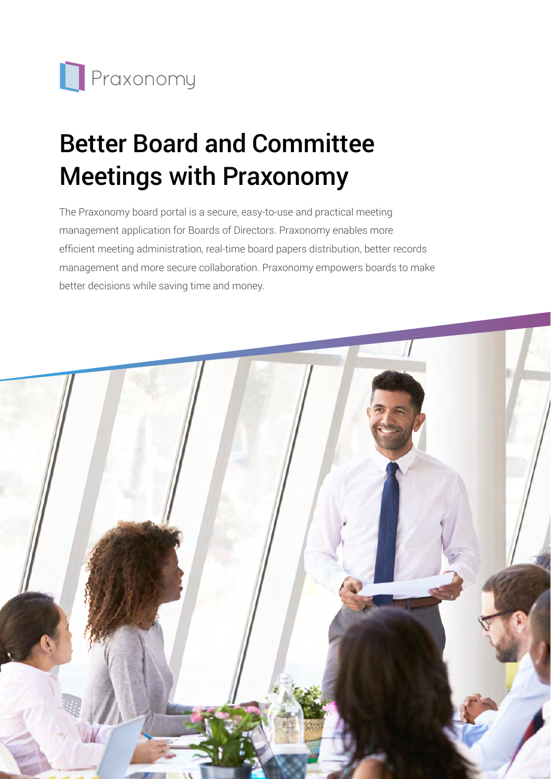

# Better Board and Committee Meetings with Praxonomy

The Praxonomy board portal is a secure, easy-to-use and practical meeting management application for Boards of Directors. Praxonomy enables more efficient meeting administration, real-time board papers distribution, better records management and more secure collaboration. Praxonomy empowers boards to make better decisions while saving time and money.

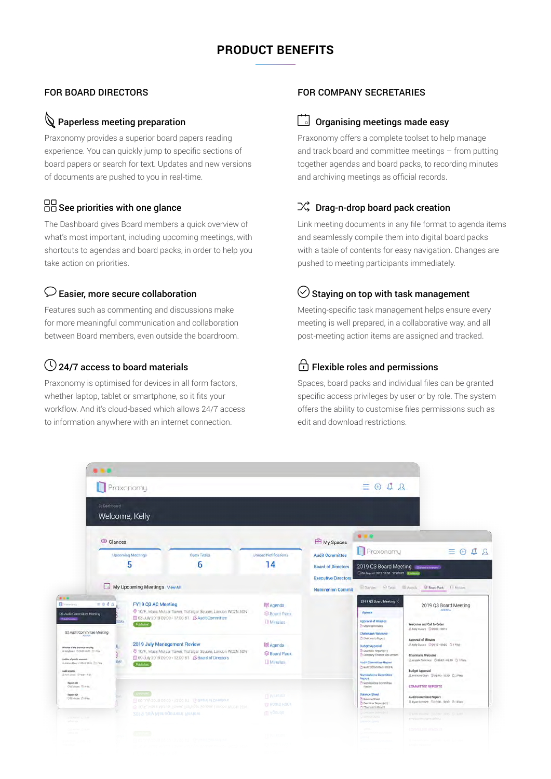# **PRODUCT BENEFITS**

#### FOR BOARD DIRECTORS

## $\mathbb Q$  Paperless meeting preparation

Praxonomy provides a superior board papers reading experience. You can quickly jump to specific sections of board papers or search for text. Updates and new versions of documents are pushed to you in real-time.

# $\Box$  $\Box$  See priorities with one glance

The Dashboard gives Board members a quick overview of what's most important, including upcoming meetings, with shortcuts to agendas and board packs, in order to help you take action on priorities.

#### $\mathcal D$  Easier, more secure collaboration

Features such as commenting and discussions make for more meaningful communication and collaboration between Board members, even outside the boardroom.

# $\bigcirc$  24/7 access to board materials

Praxonomy is optimised for devices in all form factors, whether laptop, tablet or smartphone, so it fits your workflow. And it's cloud-based which allows 24/7 access to information anywhere with an internet connection.

#### FOR COMPANY SECRETARIES

#### $\boxed{\phantom{a}}$  Organising meetings made easy

Praxonomy offers a complete toolset to help manage and track board and committee meetings – from putting together agendas and board packs, to recording minutes and archiving meetings as official records.

#### $\mathbb{R}^2$  Drag-n-drop board pack creation

Link meeting documents in any file format to agenda items and seamlessly compile them into digital board packs with a table of contents for easy navigation. Changes are pushed to meeting participants immediately.

# $\heartsuit$  Staying on top with task management

Meeting-specific task management helps ensure every meeting is well prepared, in a collaborative way, and all post-meeting action items are assigned and tracked.

# $\bigoplus$  Flexible roles and permissions

Spaces, board packs and individual files can be granted specific access privileges by user or by role. The system offers the ability to customise files permissions such as edit and download restrictions.

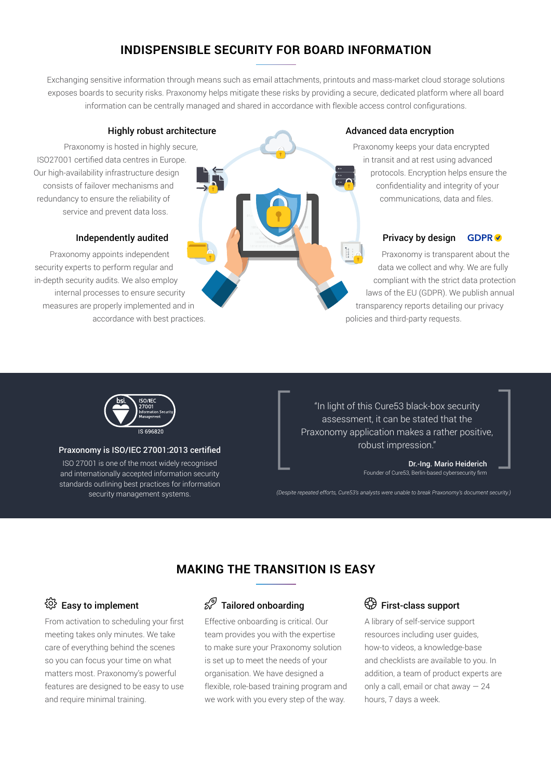# **INDISPENSIBLE SECURITY FOR BOARD INFORMATION**

Exchanging sensitive information through means such as email attachments, printouts and mass-market cloud storage solutions exposes boards to security risks. Praxonomy helps mitigate these risks by providing a secure, dedicated platform where all board information can be centrally managed and shared in accordance with flexible access control configurations.

#### Highly robust architecture

Praxonomy is hosted in highly secure, ISO27001 certified data centres in Europe. Our high-availability infrastructure design consists of failover mechanisms and redundancy to ensure the reliability of service and prevent data loss.

#### Independently audited

Praxonomy appoints independent security experts to perform regular and in-depth security audits. We also employ internal processes to ensure security measures are properly implemented and in accordance with best practices.

# $\frac{1}{2}$

#### Advanced data encryption

Praxonomy keeps your data encrypted in transit and at rest using advanced protocols. Encryption helps ensure the confidentiality and integrity of your communications, data and files.

#### Privacy by design **GDPR**

Praxonomy is transparent about the data we collect and why. We are fully compliant with the strict data protection laws of the EU (GDPR). We publish annual transparency reports detailing our privacy policies and third-party requests.



#### Praxonomy is ISO/IEC 27001:2013 certified

ISO 27001 is one of the most widely recognised and internationally accepted information security standards outlining best practices for information security management systems.

"In light of this Cure53 black-box security assessment, it can be stated that the Praxonomy application makes a rather positive, robust impression."

> Dr.-Ing. Mario Heiderich Founder of Cure53, Berlin-based cybersecurity firm

*(Despite repeated efforts, Cure53's analysts were unable to break Praxonomy's document security.)*

# **MAKING THE TRANSITION IS EASY**

# Easy to implement

From activation to scheduling your first meeting takes only minutes. We take care of everything behind the scenes so you can focus your time on what matters most. Praxonomy's powerful features are designed to be easy to use and require minimal training.

# $\mathcal{D}$  Tailored onboarding

Effective onboarding is critical. Our team provides you with the expertise to make sure your Praxonomy solution is set up to meet the needs of your organisation. We have designed a flexible, role-based training program and we work with you every step of the way.

### First-class support

A library of self-service support resources including user guides, how-to videos, a knowledge-base and checklists are available to you. In addition, a team of product experts are only a call, email or chat away — 24 hours, 7 days a week.